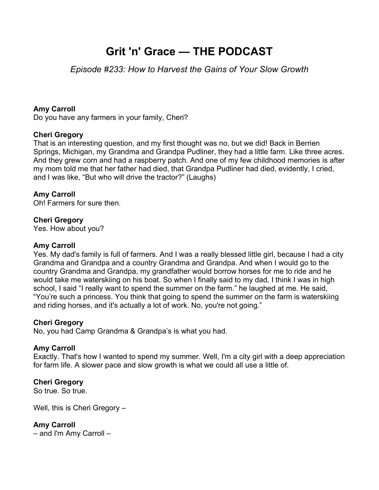# **Grit 'n' Grace — THE PODCAST**

# *Episode #233: How to Harvest the Gains of Your Slow Growth*

### **Amy Carroll**

Do you have any farmers in your family, Cheri?

#### **Cheri Gregory**

That is an interesting question, and my first thought was no, but we did! Back in Berrien Springs, Michigan, my Grandma and Grandpa Pudliner, they had a little farm. Like three acres. And they grew corn and had a raspberry patch. And one of my few childhood memories is after my mom told me that her father had died, that Grandpa Pudliner had died, evidently, I cried, and I was like, "But who will drive the tractor?" (Laughs)

## **Amy Carroll**

Oh! Farmers for sure then.

#### **Cheri Gregory**

Yes. How about you?

#### **Amy Carroll**

Yes. My dad's family is full of farmers. And I was a really blessed little girl, because I had a city Grandma and Grandpa and a country Grandma and Grandpa. And when I would go to the country Grandma and Grandpa, my grandfather would borrow horses for me to ride and he would take me waterskiing on his boat. So when I finally said to my dad, I think I was in high school, I said "I really want to spend the summer on the farm." he laughed at me. He said, "You're such a princess. You think that going to spend the summer on the farm is waterskiing and riding horses, and it's actually a lot of work. No, you're not going."

#### **Cheri Gregory**

No, you had Camp Grandma & Grandpa's is what you had.

#### **Amy Carroll**

Exactly. That's how I wanted to spend my summer. Well, I'm a city girl with a deep appreciation for farm life. A slower pace and slow growth is what we could all use a little of.

#### **Cheri Gregory**

So true. So true.

Well, this is Cheri Gregory –

#### **Amy Carroll**

– and I'm Amy Carroll –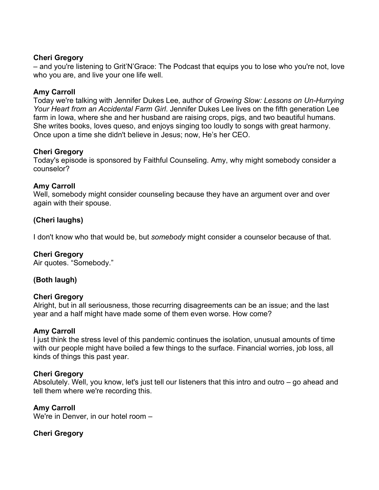#### **Cheri Gregory**

– and you're listening to Grit'N'Grace: The Podcast that equips you to lose who you're not, love who you are, and live your one life well.

# **Amy Carroll**

Today we're talking with Jennifer Dukes Lee, author of *Growing Slow: Lessons on Un-Hurrying Your Heart from an Accidental Farm Girl*. Jennifer Dukes Lee lives on the fifth generation Lee farm in Iowa, where she and her husband are raising crops, pigs, and two beautiful humans. She writes books, loves queso, and enjoys singing too loudly to songs with great harmony. Once upon a time she didn't believe in Jesus; now, He's her CEO.

# **Cheri Gregory**

Today's episode is sponsored by Faithful Counseling. Amy, why might somebody consider a counselor?

## **Amy Carroll**

Well, somebody might consider counseling because they have an argument over and over again with their spouse.

# **(Cheri laughs)**

I don't know who that would be, but *somebody* might consider a counselor because of that.

#### **Cheri Gregory**

Air quotes. "Somebody."

# **(Both laugh)**

#### **Cheri Gregory**

Alright, but in all seriousness, those recurring disagreements can be an issue; and the last year and a half might have made some of them even worse. How come?

#### **Amy Carroll**

I just think the stress level of this pandemic continues the isolation, unusual amounts of time with our people might have boiled a few things to the surface. Financial worries, job loss, all kinds of things this past year.

#### **Cheri Gregory**

Absolutely. Well, you know, let's just tell our listeners that this intro and outro – go ahead and tell them where we're recording this.

#### **Amy Carroll**

We're in Denver, in our hotel room –

#### **Cheri Gregory**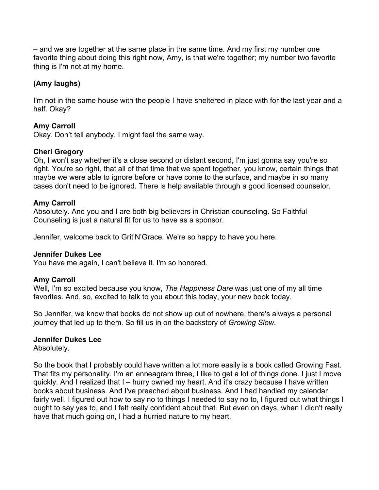– and we are together at the same place in the same time. And my first my number one favorite thing about doing this right now, Amy, is that we're together; my number two favorite thing is I'm not at my home.

# **(Amy laughs)**

I'm not in the same house with the people I have sheltered in place with for the last year and a half. Okay?

# **Amy Carroll**

Okay. Don't tell anybody. I might feel the same way.

## **Cheri Gregory**

Oh, I won't say whether it's a close second or distant second, I'm just gonna say you're so right. You're so right, that all of that time that we spent together, you know, certain things that maybe we were able to ignore before or have come to the surface, and maybe in so many cases don't need to be ignored. There is help available through a good licensed counselor.

#### **Amy Carroll**

Absolutely. And you and I are both big believers in Christian counseling. So Faithful Counseling is just a natural fit for us to have as a sponsor.

Jennifer, welcome back to Grit'N'Grace. We're so happy to have you here.

#### **Jennifer Dukes Lee**

You have me again, I can't believe it. I'm so honored.

#### **Amy Carroll**

Well, I'm so excited because you know, *The Happiness Dare* was just one of my all time favorites. And, so, excited to talk to you about this today, your new book today.

So Jennifer, we know that books do not show up out of nowhere, there's always a personal journey that led up to them. So fill us in on the backstory of *Growing Slow*.

#### **Jennifer Dukes Lee**

Absolutely.

So the book that I probably could have written a lot more easily is a book called Growing Fast. That fits my personality. I'm an enneagram three, I like to get a lot of things done. I just I move quickly. And I realized that I – hurry owned my heart. And it's crazy because I have written books about business. And I've preached about business. And I had handled my calendar fairly well. I figured out how to say no to things I needed to say no to, I figured out what things I ought to say yes to, and I felt really confident about that. But even on days, when I didn't really have that much going on, I had a hurried nature to my heart.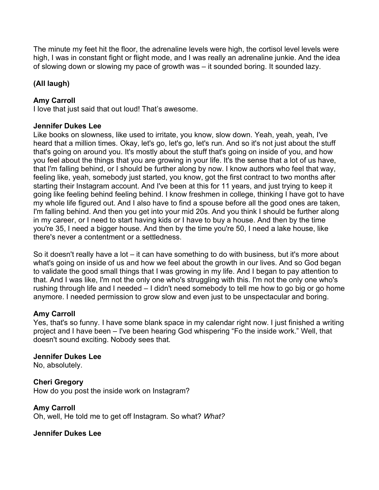The minute my feet hit the floor, the adrenaline levels were high, the cortisol level levels were high, I was in constant fight or flight mode, and I was really an adrenaline junkie. And the idea of slowing down or slowing my pace of growth was – it sounded boring. It sounded lazy.

# **(All laugh)**

# **Amy Carroll**

I love that just said that out loud! That's awesome.

## **Jennifer Dukes Lee**

Like books on slowness, like used to irritate, you know, slow down. Yeah, yeah, yeah, I've heard that a million times. Okay, let's go, let's go, let's run. And so it's not just about the stuff that's going on around you. It's mostly about the stuff that's going on inside of you, and how you feel about the things that you are growing in your life. It's the sense that a lot of us have, that I'm falling behind, or I should be further along by now. I know authors who feel that way, feeling like, yeah, somebody just started, you know, got the first contract to two months after starting their Instagram account. And I've been at this for 11 years, and just trying to keep it going like feeling behind feeling behind. I know freshmen in college, thinking I have got to have my whole life figured out. And I also have to find a spouse before all the good ones are taken, I'm falling behind. And then you get into your mid 20s. And you think I should be further along in my career, or I need to start having kids or I have to buy a house. And then by the time you're 35, I need a bigger house. And then by the time you're 50, I need a lake house, like there's never a contentment or a settledness.

So it doesn't really have a lot – it can have something to do with business, but it's more about what's going on inside of us and how we feel about the growth in our lives. And so God began to validate the good small things that I was growing in my life. And I began to pay attention to that. And I was like, I'm not the only one who's struggling with this. I'm not the only one who's rushing through life and I needed – I didn't need somebody to tell me how to go big or go home anymore. I needed permission to grow slow and even just to be unspectacular and boring.

# **Amy Carroll**

Yes, that's so funny. I have some blank space in my calendar right now. I just finished a writing project and I have been – I've been hearing God whispering "Fo the inside work." Well, that doesn't sound exciting. Nobody sees that.

#### **Jennifer Dukes Lee**

No, absolutely.

**Cheri Gregory**  How do you post the inside work on Instagram?

**Amy Carroll**  Oh, well, He told me to get off Instagram. So what? *What?*

# **Jennifer Dukes Lee**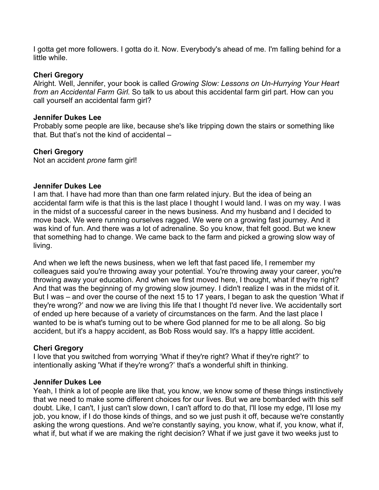I gotta get more followers. I gotta do it. Now. Everybody's ahead of me. I'm falling behind for a little while.

#### **Cheri Gregory**

Alright. Well, Jennifer, your book is called *Growing Slow: Lessons on Un-Hurrying Your Heart from an Accidental Farm Girl*. So talk to us about this accidental farm girl part. How can you call yourself an accidental farm girl?

#### **Jennifer Dukes Lee**

Probably some people are like, because she's like tripping down the stairs or something like that. But that's not the kind of accidental –

#### **Cheri Gregory**

Not an accident *prone* farm girl!

#### **Jennifer Dukes Lee**

I am that. I have had more than than one farm related injury. But the idea of being an accidental farm wife is that this is the last place I thought I would land. I was on my way. I was in the midst of a successful career in the news business. And my husband and I decided to move back. We were running ourselves ragged. We were on a growing fast journey. And it was kind of fun. And there was a lot of adrenaline. So you know, that felt good. But we knew that something had to change. We came back to the farm and picked a growing slow way of living.

And when we left the news business, when we left that fast paced life, I remember my colleagues said you're throwing away your potential. You're throwing away your career, you're throwing away your education. And when we first moved here, I thought, what if they're right? And that was the beginning of my growing slow journey. I didn't realize I was in the midst of it. But I was – and over the course of the next 15 to 17 years, I began to ask the question 'What if they're wrong?' and now we are living this life that I thought I'd never live. We accidentally sort of ended up here because of a variety of circumstances on the farm. And the last place I wanted to be is what's turning out to be where God planned for me to be all along. So big accident, but it's a happy accident, as Bob Ross would say. It's a happy little accident.

#### **Cheri Gregory**

I love that you switched from worrying 'What if they're right? What if they're right?' to intentionally asking 'What if they're wrong?' that's a wonderful shift in thinking.

#### **Jennifer Dukes Lee**

Yeah, I think a lot of people are like that, you know, we know some of these things instinctively that we need to make some different choices for our lives. But we are bombarded with this self doubt. Like, I can't, I just can't slow down, I can't afford to do that, I'll lose my edge, I'll lose my job, you know, if I do those kinds of things, and so we just push it off, because we're constantly asking the wrong questions. And we're constantly saying, you know, what if, you know, what if, what if, but what if we are making the right decision? What if we just gave it two weeks just to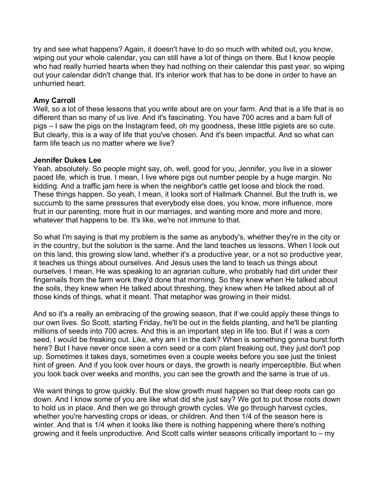try and see what happens? Again, it doesn't have to do so much with whited out, you know, wiping out your whole calendar, you can still have a lot of things on there. But I know people who had really hurried hearts when they had nothing on their calendar this past year, so wiping out your calendar didn't change that. It's interior work that has to be done in order to have an unhurried heart.

## **Amy Carroll**

Well, so a lot of these lessons that you write about are on your farm. And that is a life that is so different than so many of us live. And it's fascinating. You have 700 acres and a barn full of pigs – I saw the pigs on the Instagram feed, oh my goodness, these little piglets are so cute. But clearly, this is a way of life that you've chosen. And it's been impactful. And so what can farm life teach us no matter where we live?

#### **Jennifer Dukes Lee**

Yeah, absolutely. So people might say, oh, well, good for you, Jennifer, you live in a slower paced life, which is true. I mean, I live where pigs out number people by a huge margin. No kidding. And a traffic jam here is when the neighbor's cattle get loose and block the road. These things happen. So yeah, I mean, it looks sort of Hallmark Channel. But the truth is, we succumb to the same pressures that everybody else does, you know, more influence, more fruit in our parenting, more fruit in our marriages, and wanting more and more and more, whatever that happens to be. It's like, we're not immune to that.

So what I'm saying is that my problem is the same as anybody's, whether they're in the city or in the country, but the solution is the same. And the land teaches us lessons. When I look out on this land, this growing slow land, whether it's a productive year, or a not so productive year, it teaches us things about ourselves. And Jesus uses the land to teach us things about ourselves. I mean, He was speaking to an agrarian culture, who probably had dirt under their fingernails from the farm work they'd done that morning. So they knew when He talked about the soils, they knew when He talked about threshing, they knew when He talked about all of those kinds of things, what it meant. That metaphor was growing in their midst.

And so it's a really an embracing of the growing season, that if we could apply these things to our own lives. So Scott, starting Friday, he'll be out in the fields planting, and he'll be planting millions of seeds into 700 acres. And this is an important step in life too. But if I was a corn seed, I would be freaking out. Like, why am I in the dark? When is something gonna burst forth here? But I have never once seen a corn seed or a corn plant freaking out, they just don't pop up. Sometimes it takes days, sometimes even a couple weeks before you see just the tiniest hint of green. And if you look over hours or days, the growth is nearly imperceptible. But when you look back over weeks and months, you can see the growth and the same is true of us.

We want things to grow quickly. But the slow growth must happen so that deep roots can go down. And I know some of you are like what did she just say? We got to put those roots down to hold us in place. And then we go through growth cycles. We go through harvest cycles, whether you're harvesting crops or ideas, or children. And then 1/4 of the season here is winter. And that is 1/4 when it looks like there is nothing happening where there's nothing growing and it feels unproductive. And Scott calls winter seasons critically important to – my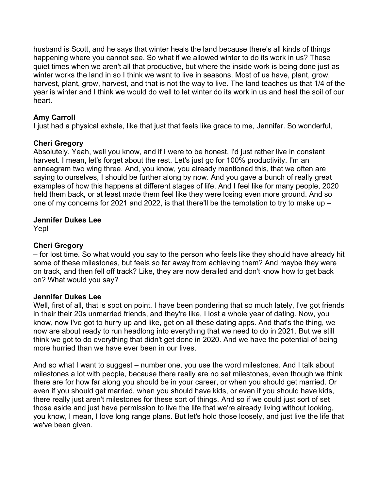husband is Scott, and he says that winter heals the land because there's all kinds of things happening where you cannot see. So what if we allowed winter to do its work in us? These quiet times when we aren't all that productive, but where the inside work is being done just as winter works the land in so I think we want to live in seasons. Most of us have, plant, grow, harvest, plant, grow, harvest, and that is not the way to live. The land teaches us that 1/4 of the year is winter and I think we would do well to let winter do its work in us and heal the soil of our heart.

# **Amy Carroll**

I just had a physical exhale, like that just that feels like grace to me, Jennifer. So wonderful,

## **Cheri Gregory**

Absolutely. Yeah, well you know, and if I were to be honest, I'd just rather live in constant harvest. I mean, let's forget about the rest. Let's just go for 100% productivity. I'm an enneagram two wing three. And, you know, you already mentioned this, that we often are saying to ourselves, I should be further along by now. And you gave a bunch of really great examples of how this happens at different stages of life. And I feel like for many people, 2020 held them back, or at least made them feel like they were losing even more ground. And so one of my concerns for 2021 and 2022, is that there'll be the temptation to try to make up –

#### **Jennifer Dukes Lee**

Yep!

#### **Cheri Gregory**

– for lost time. So what would you say to the person who feels like they should have already hit some of these milestones, but feels so far away from achieving them? And maybe they were on track, and then fell off track? Like, they are now derailed and don't know how to get back on? What would you say?

#### **Jennifer Dukes Lee**

Well, first of all, that is spot on point. I have been pondering that so much lately, I've got friends in their their 20s unmarried friends, and they're like, I lost a whole year of dating. Now, you know, now I've got to hurry up and like, get on all these dating apps. And that's the thing, we now are about ready to run headlong into everything that we need to do in 2021. But we still think we got to do everything that didn't get done in 2020. And we have the potential of being more hurried than we have ever been in our lives.

And so what I want to suggest – number one, you use the word milestones. And I talk about milestones a lot with people, because there really are no set milestones, even though we think there are for how far along you should be in your career, or when you should get married. Or even if you should get married, when you should have kids, or even if you should have kids, there really just aren't milestones for these sort of things. And so if we could just sort of set those aside and just have permission to live the life that we're already living without looking, you know, I mean, I love long range plans. But let's hold those loosely, and just live the life that we've been given.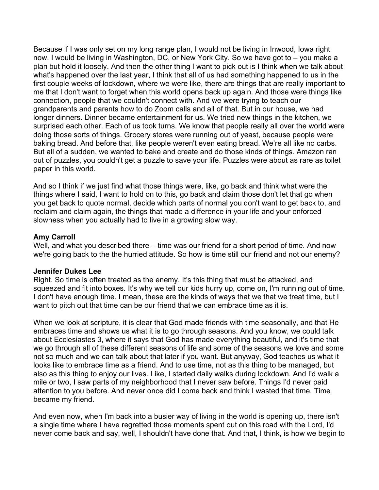Because if I was only set on my long range plan, I would not be living in Inwood, Iowa right now. I would be living in Washington, DC, or New York City. So we have got to – you make a plan but hold it loosely. And then the other thing I want to pick out is I think when we talk about what's happened over the last year, I think that all of us had something happened to us in the first couple weeks of lockdown, where we were like, there are things that are really important to me that I don't want to forget when this world opens back up again. And those were things like connection, people that we couldn't connect with. And we were trying to teach our grandparents and parents how to do Zoom calls and all of that. But in our house, we had longer dinners. Dinner became entertainment for us. We tried new things in the kitchen, we surprised each other. Each of us took turns. We know that people really all over the world were doing those sorts of things. Grocery stores were running out of yeast, because people were baking bread. And before that, like people weren't even eating bread. We're all like no carbs. But all of a sudden, we wanted to bake and create and do those kinds of things. Amazon ran out of puzzles, you couldn't get a puzzle to save your life. Puzzles were about as rare as toilet paper in this world.

And so I think if we just find what those things were, like, go back and think what were the things where I said, I want to hold on to this, go back and claim those don't let that go when you get back to quote normal, decide which parts of normal you don't want to get back to, and reclaim and claim again, the things that made a difference in your life and your enforced slowness when you actually had to live in a growing slow way.

#### **Amy Carroll**

Well, and what you described there – time was our friend for a short period of time. And now we're going back to the the hurried attitude. So how is time still our friend and not our enemy?

#### **Jennifer Dukes Lee**

Right. So time is often treated as the enemy. It's this thing that must be attacked, and squeezed and fit into boxes. It's why we tell our kids hurry up, come on, I'm running out of time. I don't have enough time. I mean, these are the kinds of ways that we that we treat time, but I want to pitch out that time can be our friend that we can embrace time as it is.

When we look at scripture, it is clear that God made friends with time seasonally, and that He embraces time and shows us what it is to go through seasons. And you know, we could talk about Ecclesiastes 3, where it says that God has made everything beautiful, and it's time that we go through all of these different seasons of life and some of the seasons we love and some not so much and we can talk about that later if you want. But anyway, God teaches us what it looks like to embrace time as a friend. And to use time, not as this thing to be managed, but also as this thing to enjoy our lives. Like, I started daily walks during lockdown. And I'd walk a mile or two, I saw parts of my neighborhood that I never saw before. Things I'd never paid attention to you before. And never once did I come back and think I wasted that time. Time became my friend.

And even now, when I'm back into a busier way of living in the world is opening up, there isn't a single time where I have regretted those moments spent out on this road with the Lord, I'd never come back and say, well, I shouldn't have done that. And that, I think, is how we begin to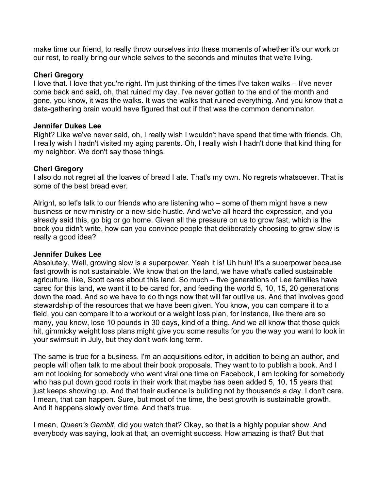make time our friend, to really throw ourselves into these moments of whether it's our work or our rest, to really bring our whole selves to the seconds and minutes that we're living.

#### **Cheri Gregory**

I love that. I love that you're right. I'm just thinking of the times I've taken walks – Ii've never come back and said, oh, that ruined my day. I've never gotten to the end of the month and gone, you know, it was the walks. It was the walks that ruined everything. And you know that a data-gathering brain would have figured that out if that was the common denominator.

#### **Jennifer Dukes Lee**

Right? Like we've never said, oh, I really wish I wouldn't have spend that time with friends. Oh, I really wish I hadn't visited my aging parents. Oh, I really wish I hadn't done that kind thing for my neighbor. We don't say those things.

#### **Cheri Gregory**

I also do not regret all the loaves of bread I ate. That's my own. No regrets whatsoever. That is some of the best bread ever.

Alright, so let's talk to our friends who are listening who – some of them might have a new business or new ministry or a new side hustle. And we've all heard the expression, and you already said this, go big or go home. Given all the pressure on us to grow fast, which is the book you didn't write, how can you convince people that deliberately choosing to grow slow is really a good idea?

#### **Jennifer Dukes Lee**

Absolutely. Well, growing slow is a superpower. Yeah it is! Uh huh! It's a superpower because fast growth is not sustainable. We know that on the land, we have what's called sustainable agriculture, like, Scott cares about this land. So much – five generations of Lee families have cared for this land, we want it to be cared for, and feeding the world 5, 10, 15, 20 generations down the road. And so we have to do things now that will far outlive us. And that involves good stewardship of the resources that we have been given. You know, you can compare it to a field, you can compare it to a workout or a weight loss plan, for instance, like there are so many, you know, lose 10 pounds in 30 days, kind of a thing. And we all know that those quick hit, gimmicky weight loss plans might give you some results for you the way you want to look in your swimsuit in July, but they don't work long term.

The same is true for a business. I'm an acquisitions editor, in addition to being an author, and people will often talk to me about their book proposals. They want to to publish a book. And I am not looking for somebody who went viral one time on Facebook, I am looking for somebody who has put down good roots in their work that maybe has been added 5, 10, 15 years that just keeps showing up. And that their audience is building not by thousands a day. I don't care. I mean, that can happen. Sure, but most of the time, the best growth is sustainable growth. And it happens slowly over time. And that's true.

I mean, *Queen's Gambit*, did you watch that? Okay, so that is a highly popular show. And everybody was saying, look at that, an overnight success. How amazing is that? But that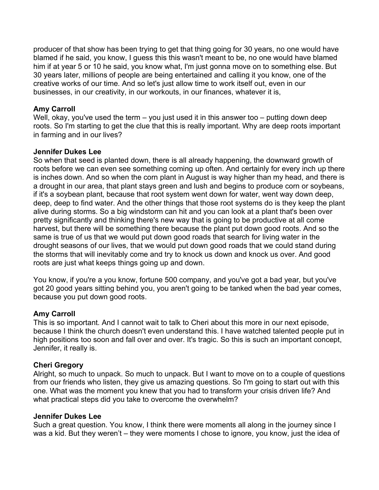producer of that show has been trying to get that thing going for 30 years, no one would have blamed if he said, you know, I guess this this wasn't meant to be, no one would have blamed him if at year 5 or 10 he said, you know what, I'm just gonna move on to something else. But 30 years later, millions of people are being entertained and calling it you know, one of the creative works of our time. And so let's just allow time to work itself out, even in our businesses, in our creativity, in our workouts, in our finances, whatever it is,

### **Amy Carroll**

Well, okay, you've used the term - you just used it in this answer too - putting down deep roots. So I'm starting to get the clue that this is really important. Why are deep roots important in farming and in our lives?

## **Jennifer Dukes Lee**

So when that seed is planted down, there is all already happening, the downward growth of roots before we can even see something coming up often. And certainly for every inch up there is inches down. And so when the corn plant in August is way higher than my head, and there is a drought in our area, that plant stays green and lush and begins to produce corn or soybeans, if it's a soybean plant, because that root system went down for water, went way down deep, deep, deep to find water. And the other things that those root systems do is they keep the plant alive during storms. So a big windstorm can hit and you can look at a plant that's been over pretty significantly and thinking there's new way that is going to be productive at all come harvest, but there will be something there because the plant put down good roots. And so the same is true of us that we would put down good roads that search for living water in the drought seasons of our lives, that we would put down good roads that we could stand during the storms that will inevitably come and try to knock us down and knock us over. And good roots are just what keeps things going up and down.

You know, if you're a you know, fortune 500 company, and you've got a bad year, but you've got 20 good years sitting behind you, you aren't going to be tanked when the bad year comes, because you put down good roots.

# **Amy Carroll**

This is so important. And I cannot wait to talk to Cheri about this more in our next episode, because I think the church doesn't even understand this. I have watched talented people put in high positions too soon and fall over and over. It's tragic. So this is such an important concept, Jennifer, it really is.

#### **Cheri Gregory**

Alright, so much to unpack. So much to unpack. But I want to move on to a couple of questions from our friends who listen, they give us amazing questions. So I'm going to start out with this one. What was the moment you knew that you had to transform your crisis driven life? And what practical steps did you take to overcome the overwhelm?

#### **Jennifer Dukes Lee**

Such a great question. You know, I think there were moments all along in the journey since I was a kid. But they weren't – they were moments I chose to ignore, you know, just the idea of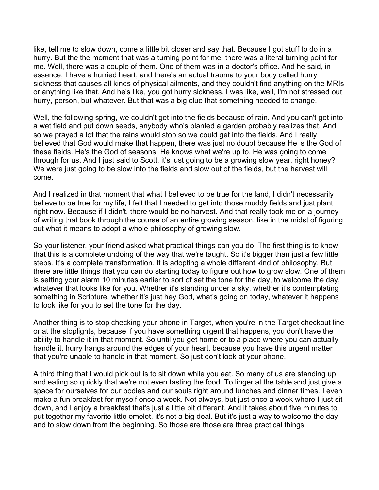like, tell me to slow down, come a little bit closer and say that. Because I got stuff to do in a hurry. But the the moment that was a turning point for me, there was a literal turning point for me. Well, there was a couple of them. One of them was in a doctor's office. And he said, in essence, I have a hurried heart, and there's an actual trauma to your body called hurry sickness that causes all kinds of physical ailments, and they couldn't find anything on the MRIs or anything like that. And he's like, you got hurry sickness. I was like, well, I'm not stressed out hurry, person, but whatever. But that was a big clue that something needed to change.

Well, the following spring, we couldn't get into the fields because of rain. And you can't get into a wet field and put down seeds, anybody who's planted a garden probably realizes that. And so we prayed a lot that the rains would stop so we could get into the fields. And I really believed that God would make that happen, there was just no doubt because He is the God of these fields. He's the God of seasons, He knows what we're up to, He was going to come through for us. And I just said to Scott, it's just going to be a growing slow year, right honey? We were just going to be slow into the fields and slow out of the fields, but the harvest will come.

And I realized in that moment that what I believed to be true for the land, I didn't necessarily believe to be true for my life, I felt that I needed to get into those muddy fields and just plant right now. Because if I didn't, there would be no harvest. And that really took me on a journey of writing that book through the course of an entire growing season, like in the midst of figuring out what it means to adopt a whole philosophy of growing slow.

So your listener, your friend asked what practical things can you do. The first thing is to know that this is a complete undoing of the way that we're taught. So it's bigger than just a few little steps. It's a complete transformation. It is adopting a whole different kind of philosophy. But there are little things that you can do starting today to figure out how to grow slow. One of them is setting your alarm 10 minutes earlier to sort of set the tone for the day, to welcome the day, whatever that looks like for you. Whether it's standing under a sky, whether it's contemplating something in Scripture, whether it's just hey God, what's going on today, whatever it happens to look like for you to set the tone for the day.

Another thing is to stop checking your phone in Target, when you're in the Target checkout line or at the stoplights, because if you have something urgent that happens, you don't have the ability to handle it in that moment. So until you get home or to a place where you can actually handle it, hurry hangs around the edges of your heart, because you have this urgent matter that you're unable to handle in that moment. So just don't look at your phone.

A third thing that I would pick out is to sit down while you eat. So many of us are standing up and eating so quickly that we're not even tasting the food. To linger at the table and just give a space for ourselves for our bodies and our souls right around lunches and dinner times. I even make a fun breakfast for myself once a week. Not always, but just once a week where I just sit down, and I enjoy a breakfast that's just a little bit different. And it takes about five minutes to put together my favorite little omelet, it's not a big deal. But it's just a way to welcome the day and to slow down from the beginning. So those are those are three practical things.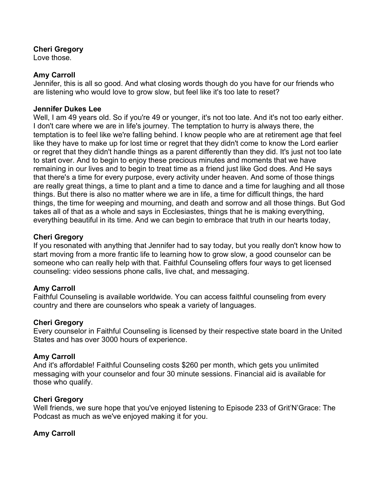#### **Cheri Gregory**

Love those.

### **Amy Carroll**

Jennifer, this is all so good. And what closing words though do you have for our friends who are listening who would love to grow slow, but feel like it's too late to reset?

## **Jennifer Dukes Lee**

Well, I am 49 years old. So if you're 49 or younger, it's not too late. And it's not too early either. I don't care where we are in life's journey. The temptation to hurry is always there, the temptation is to feel like we're falling behind. I know people who are at retirement age that feel like they have to make up for lost time or regret that they didn't come to know the Lord earlier or regret that they didn't handle things as a parent differently than they did. It's just not too late to start over. And to begin to enjoy these precious minutes and moments that we have remaining in our lives and to begin to treat time as a friend just like God does. And He says that there's a time for every purpose, every activity under heaven. And some of those things are really great things, a time to plant and a time to dance and a time for laughing and all those things. But there is also no matter where we are in life, a time for difficult things, the hard things, the time for weeping and mourning, and death and sorrow and all those things. But God takes all of that as a whole and says in Ecclesiastes, things that he is making everything, everything beautiful in its time. And we can begin to embrace that truth in our hearts today,

## **Cheri Gregory**

If you resonated with anything that Jennifer had to say today, but you really don't know how to start moving from a more frantic life to learning how to grow slow, a good counselor can be someone who can really help with that. Faithful Counseling offers four ways to get licensed counseling: video sessions phone calls, live chat, and messaging.

# **Amy Carroll**

Faithful Counseling is available worldwide. You can access faithful counseling from every country and there are counselors who speak a variety of languages.

#### **Cheri Gregory**

Every counselor in Faithful Counseling is licensed by their respective state board in the United States and has over 3000 hours of experience.

# **Amy Carroll**

And it's affordable! Faithful Counseling costs \$260 per month, which gets you unlimited messaging with your counselor and four 30 minute sessions. Financial aid is available for those who qualify.

#### **Cheri Gregory**

Well friends, we sure hope that you've enjoyed listening to Episode 233 of Grit'N'Grace: The Podcast as much as we've enjoyed making it for you.

# **Amy Carroll**